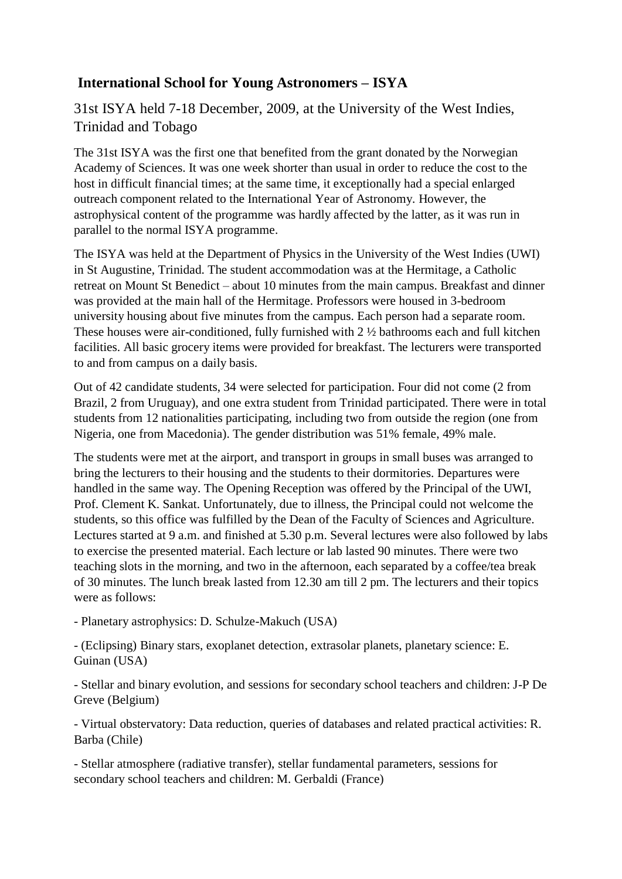## **International School for Young Astronomers – ISYA**

31st ISYA held 7-18 December, 2009, at the University of the West Indies, Trinidad and Tobago

The 31st ISYA was the first one that benefited from the grant donated by the Norwegian Academy of Sciences. It was one week shorter than usual in order to reduce the cost to the host in difficult financial times; at the same time, it exceptionally had a special enlarged outreach component related to the International Year of Astronomy. However, the astrophysical content of the programme was hardly affected by the latter, as it was run in parallel to the normal ISYA programme.

The ISYA was held at the Department of Physics in the University of the West Indies (UWI) in St Augustine, Trinidad. The student accommodation was at the Hermitage, a Catholic retreat on Mount St Benedict – about 10 minutes from the main campus. Breakfast and dinner was provided at the main hall of the Hermitage. Professors were housed in 3-bedroom university housing about five minutes from the campus. Each person had a separate room. These houses were air-conditioned, fully furnished with 2 ½ bathrooms each and full kitchen facilities. All basic grocery items were provided for breakfast. The lecturers were transported to and from campus on a daily basis.

Out of 42 candidate students, 34 were selected for participation. Four did not come (2 from Brazil, 2 from Uruguay), and one extra student from Trinidad participated. There were in total students from 12 nationalities participating, including two from outside the region (one from Nigeria, one from Macedonia). The gender distribution was 51% female, 49% male.

The students were met at the airport, and transport in groups in small buses was arranged to bring the lecturers to their housing and the students to their dormitories. Departures were handled in the same way. The Opening Reception was offered by the Principal of the UWI, Prof. Clement K. Sankat. Unfortunately, due to illness, the Principal could not welcome the students, so this office was fulfilled by the Dean of the Faculty of Sciences and Agriculture. Lectures started at 9 a.m. and finished at 5.30 p.m. Several lectures were also followed by labs to exercise the presented material. Each lecture or lab lasted 90 minutes. There were two teaching slots in the morning, and two in the afternoon, each separated by a coffee/tea break of 30 minutes. The lunch break lasted from 12.30 am till 2 pm. The lecturers and their topics were as follows:

- Planetary astrophysics: D. Schulze-Makuch (USA)

- (Eclipsing) Binary stars, exoplanet detection, extrasolar planets, planetary science: E. Guinan (USA)

- Stellar and binary evolution, and sessions for secondary school teachers and children: J-P De Greve (Belgium)

- Virtual obstervatory: Data reduction, queries of databases and related practical activities: R. Barba (Chile)

- Stellar atmosphere (radiative transfer), stellar fundamental parameters, sessions for secondary school teachers and children: M. Gerbaldi (France)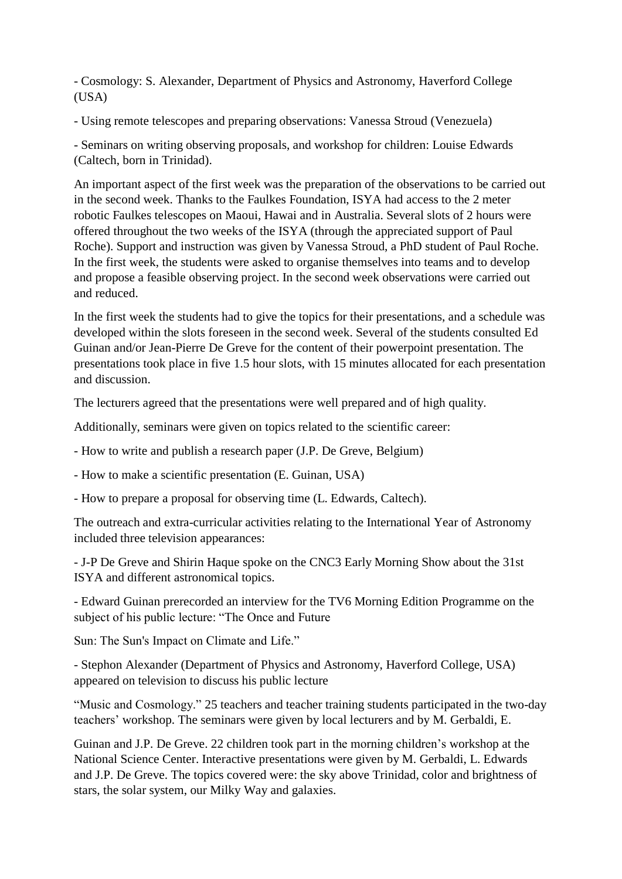- Cosmology: S. Alexander, Department of Physics and Astronomy, Haverford College (USA)

- Using remote telescopes and preparing observations: Vanessa Stroud (Venezuela)

- Seminars on writing observing proposals, and workshop for children: Louise Edwards (Caltech, born in Trinidad).

An important aspect of the first week was the preparation of the observations to be carried out in the second week. Thanks to the Faulkes Foundation, ISYA had access to the 2 meter robotic Faulkes telescopes on Maoui, Hawai and in Australia. Several slots of 2 hours were offered throughout the two weeks of the ISYA (through the appreciated support of Paul Roche). Support and instruction was given by Vanessa Stroud, a PhD student of Paul Roche. In the first week, the students were asked to organise themselves into teams and to develop and propose a feasible observing project. In the second week observations were carried out and reduced.

In the first week the students had to give the topics for their presentations, and a schedule was developed within the slots foreseen in the second week. Several of the students consulted Ed Guinan and/or Jean-Pierre De Greve for the content of their powerpoint presentation. The presentations took place in five 1.5 hour slots, with 15 minutes allocated for each presentation and discussion.

The lecturers agreed that the presentations were well prepared and of high quality.

Additionally, seminars were given on topics related to the scientific career:

- How to write and publish a research paper (J.P. De Greve, Belgium)

- How to make a scientific presentation (E. Guinan, USA)

- How to prepare a proposal for observing time (L. Edwards, Caltech).

The outreach and extra-curricular activities relating to the International Year of Astronomy included three television appearances:

- J-P De Greve and Shirin Haque spoke on the CNC3 Early Morning Show about the 31st ISYA and different astronomical topics.

- Edward Guinan prerecorded an interview for the TV6 Morning Edition Programme on the subject of his public lecture: "The Once and Future

Sun: The Sun's Impact on Climate and Life."

- Stephon Alexander (Department of Physics and Astronomy, Haverford College, USA) appeared on television to discuss his public lecture

"Music and Cosmology." 25 teachers and teacher training students participated in the two-day teachers' workshop. The seminars were given by local lecturers and by M. Gerbaldi, E.

Guinan and J.P. De Greve. 22 children took part in the morning children's workshop at the National Science Center. Interactive presentations were given by M. Gerbaldi, L. Edwards and J.P. De Greve. The topics covered were: the sky above Trinidad, color and brightness of stars, the solar system, our Milky Way and galaxies.